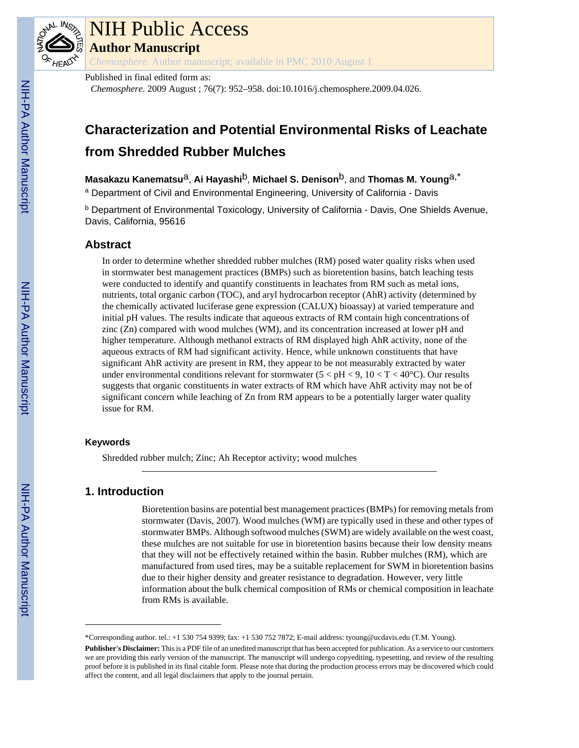

# NIH Public Access

**Author Manuscript**

*Chemosphere*. Author manuscript; available in PMC 2010 August 1.

Published in final edited form as:

*Chemosphere*. 2009 August ; 76(7): 952–958. doi:10.1016/j.chemosphere.2009.04.026.

# **Characterization and Potential Environmental Risks of Leachate from Shredded Rubber Mulches**

**Masakazu Kanematsu**a, **Ai Hayashi**b, **Michael S. Denison**b, and **Thomas M. Young**a,\*

<sup>a</sup> Department of Civil and Environmental Engineering, University of California - Davis

<sup>b</sup> Department of Environmental Toxicology, University of California - Davis, One Shields Avenue, Davis, California, 95616

# **Abstract**

In order to determine whether shredded rubber mulches (RM) posed water quality risks when used in stormwater best management practices (BMPs) such as bioretention basins, batch leaching tests were conducted to identify and quantify constituents in leachates from RM such as metal ions, nutrients, total organic carbon (TOC), and aryl hydrocarbon receptor (AhR) activity (determined by the chemically activated luciferase gene expression (CALUX) bioassay) at varied temperature and initial pH values. The results indicate that aqueous extracts of RM contain high concentrations of zinc (Zn) compared with wood mulches (WM), and its concentration increased at lower pH and higher temperature. Although methanol extracts of RM displayed high AhR activity, none of the aqueous extracts of RM had significant activity. Hence, while unknown constituents that have significant AhR activity are present in RM, they appear to be not measurably extracted by water under environmental conditions relevant for stormwater ( $5 < pH < 9$ ,  $10 < T < 40^{\circ}$ C). Our results suggests that organic constituents in water extracts of RM which have AhR activity may not be of significant concern while leaching of Zn from RM appears to be a potentially larger water quality issue for RM.

# **Keywords**

Shredded rubber mulch; Zinc; Ah Receptor activity; wood mulches

# **1. Introduction**

Bioretention basins are potential best management practices (BMPs) for removing metals from stormwater (Davis, 2007). Wood mulches (WM) are typically used in these and other types of stormwater BMPs. Although softwood mulches (SWM) are widely available on the west coast, these mulches are not suitable for use in bioretention basins because their low density means that they will not be effectively retained within the basin. Rubber mulches (RM), which are manufactured from used tires, may be a suitable replacement for SWM in bioretention basins due to their higher density and greater resistance to degradation. However, very little information about the bulk chemical composition of RMs or chemical composition in leachate from RMs is available.

<sup>\*</sup>Corresponding author. tel.: +1 530 754 9399; fax: +1 530 752 7872; E-mail address: tyoung@ucdavis.edu (T.M. Young).

**Publisher's Disclaimer:** This is a PDF file of an unedited manuscript that has been accepted for publication. As a service to our customers we are providing this early version of the manuscript. The manuscript will undergo copyediting, typesetting, and review of the resulting proof before it is published in its final citable form. Please note that during the production process errors may be discovered which could affect the content, and all legal disclaimers that apply to the journal pertain.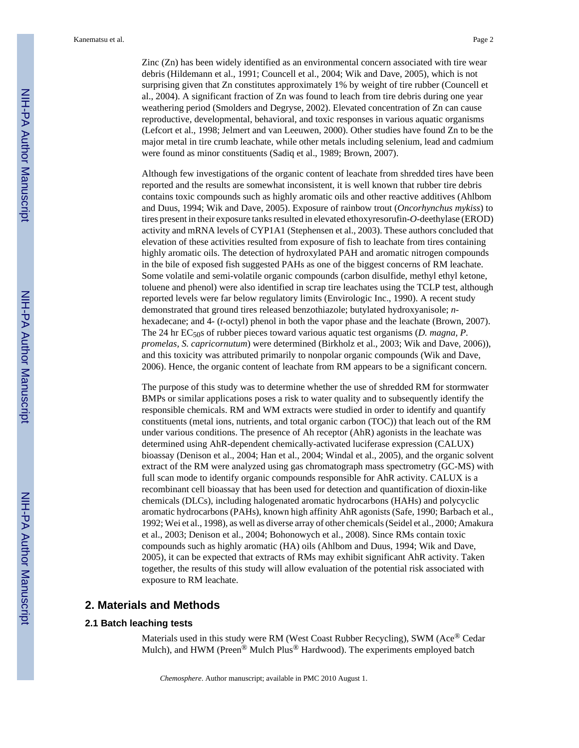Zinc (Zn) has been widely identified as an environmental concern associated with tire wear debris (Hildemann et al., 1991; Councell et al., 2004; Wik and Dave, 2005), which is not surprising given that Zn constitutes approximately 1% by weight of tire rubber (Councell et al., 2004). A significant fraction of Zn was found to leach from tire debris during one year weathering period (Smolders and Degryse, 2002). Elevated concentration of Zn can cause reproductive, developmental, behavioral, and toxic responses in various aquatic organisms (Lefcort et al., 1998; Jelmert and van Leeuwen, 2000). Other studies have found Zn to be the major metal in tire crumb leachate, while other metals including selenium, lead and cadmium were found as minor constituents (Sadiq et al., 1989; Brown, 2007).

Although few investigations of the organic content of leachate from shredded tires have been reported and the results are somewhat inconsistent, it is well known that rubber tire debris contains toxic compounds such as highly aromatic oils and other reactive additives (Ahlbom and Duus, 1994; Wik and Dave, 2005). Exposure of rainbow trout (*Oncorhynchus mykiss*) to tires present in their exposure tanks resulted in elevated ethoxyresorufin-*O*-deethylase (EROD) activity and mRNA levels of CYP1A1 (Stephensen et al., 2003). These authors concluded that elevation of these activities resulted from exposure of fish to leachate from tires containing highly aromatic oils. The detection of hydroxylated PAH and aromatic nitrogen compounds in the bile of exposed fish suggested PAHs as one of the biggest concerns of RM leachate. Some volatile and semi-volatile organic compounds (carbon disulfide, methyl ethyl ketone, toluene and phenol) were also identified in scrap tire leachates using the TCLP test, although reported levels were far below regulatory limits (Envirologic Inc., 1990). A recent study demonstrated that ground tires released benzothiazole; butylated hydroxyanisole; *n*hexadecane; and 4- (*t*-octyl) phenol in both the vapor phase and the leachate (Brown, 2007). The 24 hr EC<sub>50</sub>s of rubber pieces toward various aquatic test organisms (*D. magna, P. promelas, S. capricornutum*) were determined (Birkholz et al., 2003; Wik and Dave, 2006)), and this toxicity was attributed primarily to nonpolar organic compounds (Wik and Dave, 2006). Hence, the organic content of leachate from RM appears to be a significant concern.

The purpose of this study was to determine whether the use of shredded RM for stormwater BMPs or similar applications poses a risk to water quality and to subsequently identify the responsible chemicals. RM and WM extracts were studied in order to identify and quantify constituents (metal ions, nutrients, and total organic carbon (TOC)) that leach out of the RM under various conditions. The presence of Ah receptor (AhR) agonists in the leachate was determined using AhR-dependent chemically-activated luciferase expression (CALUX) bioassay (Denison et al., 2004; Han et al., 2004; Windal et al., 2005), and the organic solvent extract of the RM were analyzed using gas chromatograph mass spectrometry (GC-MS) with full scan mode to identify organic compounds responsible for AhR activity. CALUX is a recombinant cell bioassay that has been used for detection and quantification of dioxin-like chemicals (DLCs), including halogenated aromatic hydrocarbons (HAHs) and polycyclic aromatic hydrocarbons (PAHs), known high affinity AhR agonists (Safe, 1990; Barbach et al., 1992; Wei et al., 1998), as well as diverse array of other chemicals (Seidel et al., 2000; Amakura et al., 2003; Denison et al., 2004; Bohonowych et al., 2008). Since RMs contain toxic compounds such as highly aromatic (HA) oils (Ahlbom and Duus, 1994; Wik and Dave, 2005), it can be expected that extracts of RMs may exhibit significant AhR activity. Taken together, the results of this study will allow evaluation of the potential risk associated with exposure to RM leachate.

# **2. Materials and Methods**

## **2.1 Batch leaching tests**

Materials used in this study were RM (West Coast Rubber Recycling), SWM (Ace® Cedar Mulch), and HWM (Preen<sup>®</sup> Mulch Plus<sup>®</sup> Hardwood). The experiments employed batch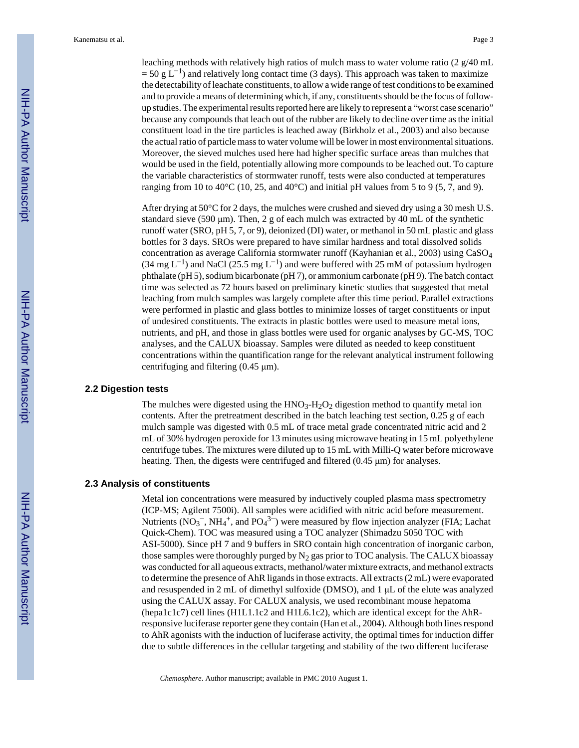leaching methods with relatively high ratios of mulch mass to water volume ratio (2  $g/40$  mL  $= 50 \text{ g L}^{-1}$ ) and relatively long contact time (3 days). This approach was taken to maximize the detectability of leachate constituents, to allow a wide range of test conditions to be examined and to provide a means of determining which, if any, constituents should be the focus of followup studies. The experimental results reported here are likely to represent a "worst case scenario" because any compounds that leach out of the rubber are likely to decline over time as the initial constituent load in the tire particles is leached away (Birkholz et al., 2003) and also because the actual ratio of particle mass to water volume will be lower in most environmental situations. Moreover, the sieved mulches used here had higher specific surface areas than mulches that would be used in the field, potentially allowing more compounds to be leached out. To capture the variable characteristics of stormwater runoff, tests were also conducted at temperatures ranging from 10 to 40 $\degree$ C (10, 25, and 40 $\degree$ C) and initial pH values from 5 to 9 (5, 7, and 9).

After drying at 50°C for 2 days, the mulches were crushed and sieved dry using a 30 mesh U.S. standard sieve (590 μm). Then, 2 g of each mulch was extracted by 40 mL of the synthetic runoff water (SRO, pH 5, 7, or 9), deionized (DI) water, or methanol in 50 mL plastic and glass bottles for 3 days. SROs were prepared to have similar hardness and total dissolved solids concentration as average California stormwater runoff (Kayhanian et al., 2003) using CaSO<sup>4</sup>  $(34 \text{ mg } L^{-1})$  and NaCl  $(25.5 \text{ mg } L^{-1})$  and were buffered with 25 mM of potassium hydrogen phthalate (pH 5), sodium bicarbonate (pH 7), or ammonium carbonate (pH 9). The batch contact time was selected as 72 hours based on preliminary kinetic studies that suggested that metal leaching from mulch samples was largely complete after this time period. Parallel extractions were performed in plastic and glass bottles to minimize losses of target constituents or input of undesired constituents. The extracts in plastic bottles were used to measure metal ions, nutrients, and pH, and those in glass bottles were used for organic analyses by GC-MS, TOC analyses, and the CALUX bioassay. Samples were diluted as needed to keep constituent concentrations within the quantification range for the relevant analytical instrument following centrifuging and filtering (0.45 μm).

#### **2.2 Digestion tests**

The mulches were digested using the  $HNO<sub>3</sub>-H<sub>2</sub>O<sub>2</sub>$  digestion method to quantify metal ion contents. After the pretreatment described in the batch leaching test section, 0.25 g of each mulch sample was digested with 0.5 mL of trace metal grade concentrated nitric acid and 2 mL of 30% hydrogen peroxide for 13 minutes using microwave heating in 15 mL polyethylene centrifuge tubes. The mixtures were diluted up to 15 mL with Milli-Q water before microwave heating. Then, the digests were centrifuged and filtered (0.45 μm) for analyses.

#### **2.3 Analysis of constituents**

Metal ion concentrations were measured by inductively coupled plasma mass spectrometry (ICP-MS; Agilent 7500i). All samples were acidified with nitric acid before measurement. Nutrients (NO<sub>3</sub><sup>-</sup>, NH<sub>4</sub><sup>+</sup>, and PO<sub>4</sub><sup>3-</sup>) were measured by flow injection analyzer (FIA; Lachat Quick-Chem). TOC was measured using a TOC analyzer (Shimadzu 5050 TOC with ASI-5000). Since pH 7 and 9 buffers in SRO contain high concentration of inorganic carbon, those samples were thoroughly purged by  $N_2$  gas prior to TOC analysis. The CALUX bioassay was conducted for all aqueous extracts, methanol/water mixture extracts, and methanol extracts to determine the presence of AhR ligands in those extracts. All extracts (2 mL) were evaporated and resuspended in 2 mL of dimethyl sulfoxide (DMSO), and 1 μL of the elute was analyzed using the CALUX assay. For CALUX analysis, we used recombinant mouse hepatoma (hepa1c1c7) cell lines (H1L1.1c2 and H1L6.1c2), which are identical except for the AhRresponsive luciferase reporter gene they contain (Han et al., 2004). Although both lines respond to AhR agonists with the induction of luciferase activity, the optimal times for induction differ due to subtle differences in the cellular targeting and stability of the two different luciferase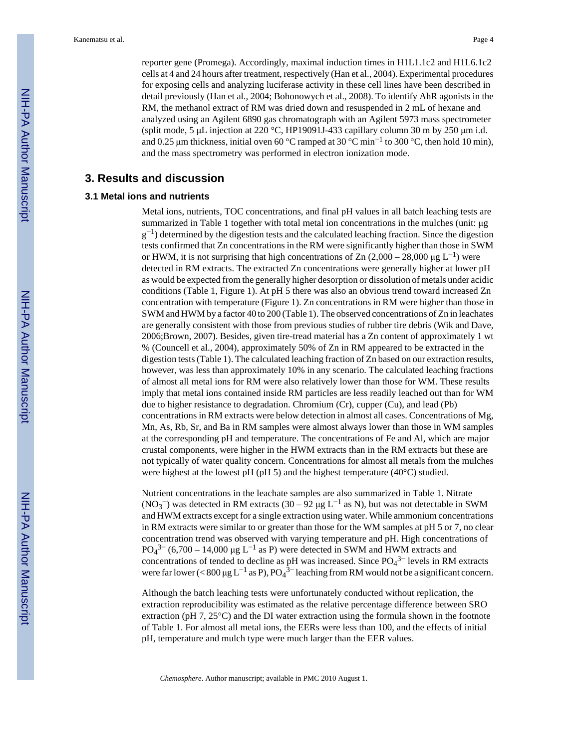reporter gene (Promega). Accordingly, maximal induction times in H1L1.1c2 and H1L6.1c2 cells at 4 and 24 hours after treatment, respectively (Han et al., 2004). Experimental procedures for exposing cells and analyzing luciferase activity in these cell lines have been described in detail previously (Han et al., 2004; Bohonowych et al., 2008). To identify AhR agonists in the RM, the methanol extract of RM was dried down and resuspended in 2 mL of hexane and analyzed using an Agilent 6890 gas chromatograph with an Agilent 5973 mass spectrometer (split mode, 5 μL injection at 220 °C, HP19091J-433 capillary column 30 m by 250 μm i.d. and 0.25 µm thickness, initial oven 60 °C ramped at 30 °C min<sup>-1</sup> to 300 °C, then hold 10 min), and the mass spectrometry was performed in electron ionization mode.

# **3. Results and discussion**

#### **3.1 Metal ions and nutrients**

Metal ions, nutrients, TOC concentrations, and final pH values in all batch leaching tests are summarized in Table 1 together with total metal ion concentrations in the mulches (unit: μg  $g^{-1}$ ) determined by the digestion tests and the calculated leaching fraction. Since the digestion tests confirmed that Zn concentrations in the RM were significantly higher than those in SWM or HWM, it is not surprising that high concentrations of Zn  $(2,000 - 28,000 \mu g L^{-1})$  were detected in RM extracts. The extracted Zn concentrations were generally higher at lower pH as would be expected from the generally higher desorption or dissolution of metals under acidic conditions (Table 1, Figure 1). At pH 5 there was also an obvious trend toward increased Zn concentration with temperature (Figure 1). Zn concentrations in RM were higher than those in SWM and HWM by a factor 40 to 200 (Table 1). The observed concentrations of Zn in leachates are generally consistent with those from previous studies of rubber tire debris (Wik and Dave, 2006;Brown, 2007). Besides, given tire-tread material has a Zn content of approximately 1 wt % (Councell et al., 2004), approximately 50% of Zn in RM appeared to be extracted in the digestion tests (Table 1). The calculated leaching fraction of Zn based on our extraction results, however, was less than approximately 10% in any scenario. The calculated leaching fractions of almost all metal ions for RM were also relatively lower than those for WM. These results imply that metal ions contained inside RM particles are less readily leached out than for WM due to higher resistance to degradation. Chromium (Cr), cupper (Cu), and lead (Pb) concentrations in RM extracts were below detection in almost all cases. Concentrations of Mg, Mn, As, Rb, Sr, and Ba in RM samples were almost always lower than those in WM samples at the corresponding pH and temperature. The concentrations of Fe and Al, which are major crustal components, were higher in the HWM extracts than in the RM extracts but these are not typically of water quality concern. Concentrations for almost all metals from the mulches were highest at the lowest pH (pH 5) and the highest temperature (40°C) studied.

Nutrient concentrations in the leachate samples are also summarized in Table 1. Nitrate (NO<sub>3</sub><sup>-</sup>) was detected in RM extracts (30 – 92 µg L<sup>-1</sup> as N), but was not detectable in SWM and HWM extracts except for a single extraction using water. While ammonium concentrations in RM extracts were similar to or greater than those for the WM samples at pH 5 or 7, no clear concentration trend was observed with varying temperature and pH. High concentrations of PO<sub>4</sub><sup>3–</sup> (6,700 – 14,000 μg L<sup>-1</sup> as P) were detected in SWM and HWM extracts and concentrations of tended to decline as pH was increased. Since  $PO_4^{3-}$  levels in RM extracts were far lower (< 800 µg L<sup>-1</sup> as P), PO<sub>4</sub><sup>3-</sup> leaching from RM would not be a significant concern.

Although the batch leaching tests were unfortunately conducted without replication, the extraction reproducibility was estimated as the relative percentage difference between SRO extraction (pH 7, 25°C) and the DI water extraction using the formula shown in the footnote of Table 1. For almost all metal ions, the EERs were less than 100, and the effects of initial pH, temperature and mulch type were much larger than the EER values.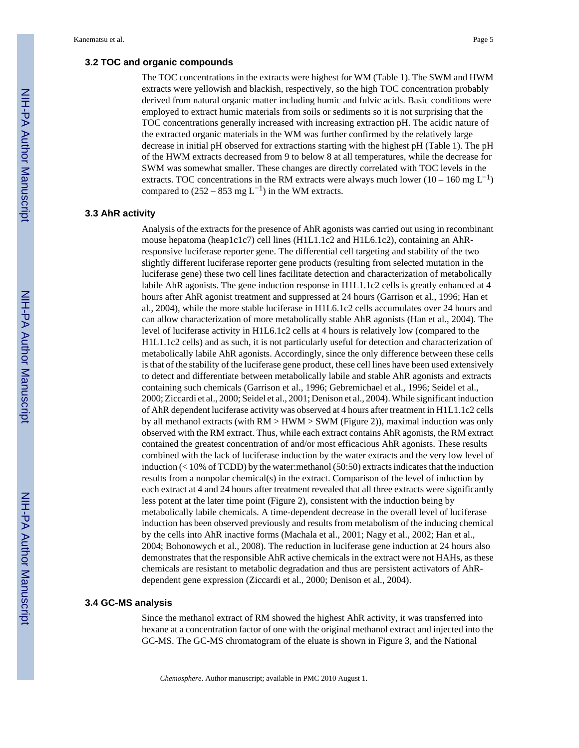#### **3.2 TOC and organic compounds**

The TOC concentrations in the extracts were highest for WM (Table 1). The SWM and HWM extracts were yellowish and blackish, respectively, so the high TOC concentration probably derived from natural organic matter including humic and fulvic acids. Basic conditions were employed to extract humic materials from soils or sediments so it is not surprising that the TOC concentrations generally increased with increasing extraction pH. The acidic nature of the extracted organic materials in the WM was further confirmed by the relatively large decrease in initial pH observed for extractions starting with the highest pH (Table 1). The pH of the HWM extracts decreased from 9 to below 8 at all temperatures, while the decrease for SWM was somewhat smaller. These changes are directly correlated with TOC levels in the extracts. TOC concentrations in the RM extracts were always much lower (10 – 160 mg  $L^{-1}$ ) compared to  $(252 - 853 \text{ mg L}^{-1})$  in the WM extracts.

#### **3.3 AhR activity**

Analysis of the extracts for the presence of AhR agonists was carried out using in recombinant mouse hepatoma (heap1c1c7) cell lines (H1L1.1c2 and H1L6.1c2), containing an AhRresponsive luciferase reporter gene. The differential cell targeting and stability of the two slightly different luciferase reporter gene products (resulting from selected mutation in the luciferase gene) these two cell lines facilitate detection and characterization of metabolically labile AhR agonists. The gene induction response in H1L1.1c2 cells is greatly enhanced at 4 hours after AhR agonist treatment and suppressed at 24 hours (Garrison et al., 1996; Han et al., 2004), while the more stable luciferase in H1L6.1c2 cells accumulates over 24 hours and can allow characterization of more metabolically stable AhR agonists (Han et al., 2004). The level of luciferase activity in H1L6.1c2 cells at 4 hours is relatively low (compared to the H1L1.1c2 cells) and as such, it is not particularly useful for detection and characterization of metabolically labile AhR agonists. Accordingly, since the only difference between these cells is that of the stability of the luciferase gene product, these cell lines have been used extensively to detect and differentiate between metabolically labile and stable AhR agonists and extracts containing such chemicals (Garrison et al., 1996; Gebremichael et al., 1996; Seidel et al., 2000; Ziccardi et al., 2000; Seidel et al., 2001; Denison et al., 2004). While significant induction of AhR dependent luciferase activity was observed at 4 hours after treatment in H1L1.1c2 cells by all methanol extracts (with  $RM > HWM > SWM$  (Figure 2)), maximal induction was only observed with the RM extract. Thus, while each extract contains AhR agonists, the RM extract contained the greatest concentration of and/or most efficacious AhR agonists. These results combined with the lack of luciferase induction by the water extracts and the very low level of induction  $(< 10\%$  of TCDD) by the water: methanol (50:50) extracts indicates that the induction results from a nonpolar chemical(s) in the extract. Comparison of the level of induction by each extract at 4 and 24 hours after treatment revealed that all three extracts were significantly less potent at the later time point (Figure 2), consistent with the induction being by metabolically labile chemicals. A time-dependent decrease in the overall level of luciferase induction has been observed previously and results from metabolism of the inducing chemical by the cells into AhR inactive forms (Machala et al., 2001; Nagy et al., 2002; Han et al., 2004; Bohonowych et al., 2008). The reduction in luciferase gene induction at 24 hours also demonstrates that the responsible AhR active chemicals in the extract were not HAHs, as these chemicals are resistant to metabolic degradation and thus are persistent activators of AhRdependent gene expression (Ziccardi et al., 2000; Denison et al., 2004).

#### **3.4 GC-MS analysis**

Since the methanol extract of RM showed the highest AhR activity, it was transferred into hexane at a concentration factor of one with the original methanol extract and injected into the GC-MS. The GC-MS chromatogram of the eluate is shown in Figure 3, and the National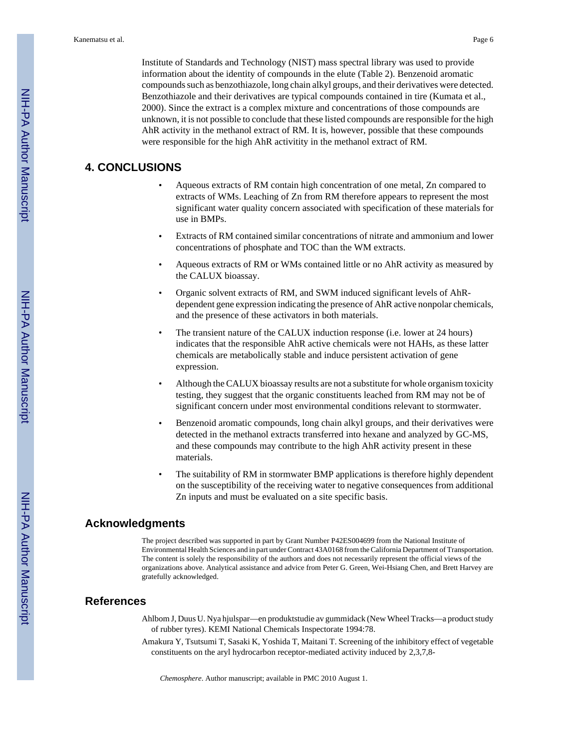Institute of Standards and Technology (NIST) mass spectral library was used to provide information about the identity of compounds in the elute (Table 2). Benzenoid aromatic compounds such as benzothiazole, long chain alkyl groups, and their derivatives were detected. Benzothiazole and their derivatives are typical compounds contained in tire (Kumata et al., 2000). Since the extract is a complex mixture and concentrations of those compounds are unknown, it is not possible to conclude that these listed compounds are responsible for the high AhR activity in the methanol extract of RM. It is, however, possible that these compounds were responsible for the high AhR activitity in the methanol extract of RM.

# **4. CONCLUSIONS**

- Aqueous extracts of RM contain high concentration of one metal, Zn compared to extracts of WMs. Leaching of Zn from RM therefore appears to represent the most significant water quality concern associated with specification of these materials for use in BMPs.
- Extracts of RM contained similar concentrations of nitrate and ammonium and lower concentrations of phosphate and TOC than the WM extracts.
- Aqueous extracts of RM or WMs contained little or no AhR activity as measured by the CALUX bioassay.
- Organic solvent extracts of RM, and SWM induced significant levels of AhRdependent gene expression indicating the presence of AhR active nonpolar chemicals, and the presence of these activators in both materials.
- The transient nature of the CALUX induction response (i.e. lower at 24 hours) indicates that the responsible AhR active chemicals were not HAHs, as these latter chemicals are metabolically stable and induce persistent activation of gene expression.
- Although the CALUX bioassay results are not a substitute for whole organism toxicity testing, they suggest that the organic constituents leached from RM may not be of significant concern under most environmental conditions relevant to stormwater.
- Benzenoid aromatic compounds, long chain alkyl groups, and their derivatives were detected in the methanol extracts transferred into hexane and analyzed by GC-MS, and these compounds may contribute to the high AhR activity present in these materials.
- The suitability of RM in stormwater BMP applications is therefore highly dependent on the susceptibility of the receiving water to negative consequences from additional Zn inputs and must be evaluated on a site specific basis.

#### **Acknowledgments**

The project described was supported in part by Grant Number P42ES004699 from the National Institute of Environmental Health Sciences and in part under Contract 43A0168 from the California Department of Transportation. The content is solely the responsibility of the authors and does not necessarily represent the official views of the organizations above. Analytical assistance and advice from Peter G. Green, Wei-Hsiang Chen, and Brett Harvey are gratefully acknowledged.

#### **References**

- Ahlbom J, Duus U. Nya hjulspar—en produktstudie av gummidack (New Wheel Tracks—a product study of rubber tyres). KEMI National Chemicals Inspectorate 1994:78.
- Amakura Y, Tsutsumi T, Sasaki K, Yoshida T, Maitani T. Screening of the inhibitory effect of vegetable constituents on the aryl hydrocarbon receptor-mediated activity induced by 2,3,7,8-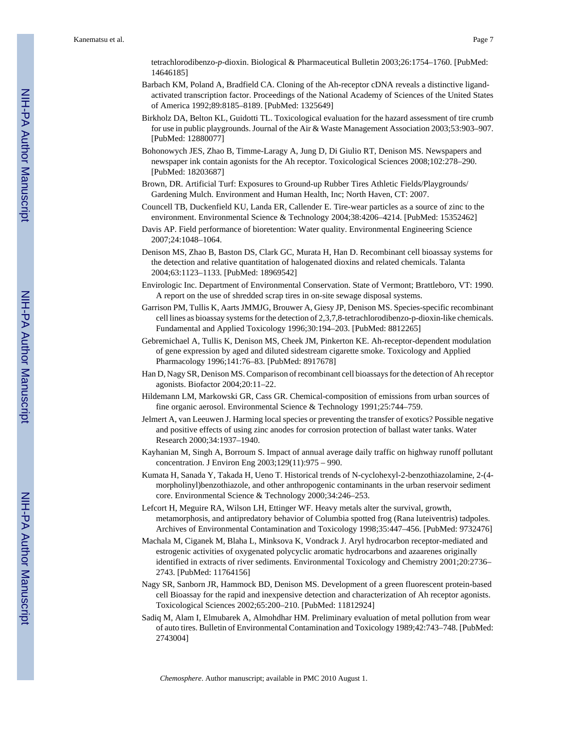tetrachlorodibenzo-*p*-dioxin. Biological & Pharmaceutical Bulletin 2003;26:1754–1760. [PubMed: 14646185]

- Barbach KM, Poland A, Bradfield CA. Cloning of the Ah-receptor cDNA reveals a distinctive ligandactivated transcription factor. Proceedings of the National Academy of Sciences of the United States of America 1992;89:8185–8189. [PubMed: 1325649]
- Birkholz DA, Belton KL, Guidotti TL. Toxicological evaluation for the hazard assessment of tire crumb for use in public playgrounds. Journal of the Air & Waste Management Association 2003;53:903–907. [PubMed: 12880077]
- Bohonowych JES, Zhao B, Timme-Laragy A, Jung D, Di Giulio RT, Denison MS. Newspapers and newspaper ink contain agonists for the Ah receptor. Toxicological Sciences 2008;102:278–290. [PubMed: 18203687]
- Brown, DR. Artificial Turf: Exposures to Ground-up Rubber Tires Athletic Fields/Playgrounds/ Gardening Mulch. Environment and Human Health, Inc; North Haven, CT: 2007.
- Councell TB, Duckenfield KU, Landa ER, Callender E. Tire-wear particles as a source of zinc to the environment. Environmental Science & Technology 2004;38:4206–4214. [PubMed: 15352462]
- Davis AP. Field performance of bioretention: Water quality. Environmental Engineering Science 2007;24:1048–1064.
- Denison MS, Zhao B, Baston DS, Clark GC, Murata H, Han D. Recombinant cell bioassay systems for the detection and relative quantitation of halogenated dioxins and related chemicals. Talanta 2004;63:1123–1133. [PubMed: 18969542]
- Envirologic Inc. Department of Environmental Conservation. State of Vermont; Brattleboro, VT: 1990. A report on the use of shredded scrap tires in on-site sewage disposal systems.
- Garrison PM, Tullis K, Aarts JMMJG, Brouwer A, Giesy JP, Denison MS. Species-specific recombinant cell lines as bioassay systems for the detection of 2,3,7,8-tetrachlorodibenzo-p-dioxin-like chemicals. Fundamental and Applied Toxicology 1996;30:194–203. [PubMed: 8812265]
- Gebremichael A, Tullis K, Denison MS, Cheek JM, Pinkerton KE. Ah-receptor-dependent modulation of gene expression by aged and diluted sidestream cigarette smoke. Toxicology and Applied Pharmacology 1996;141:76–83. [PubMed: 8917678]
- Han D, Nagy SR, Denison MS. Comparison of recombinant cell bioassays for the detection of Ah receptor agonists. Biofactor 2004;20:11–22.
- Hildemann LM, Markowski GR, Cass GR. Chemical-composition of emissions from urban sources of fine organic aerosol. Environmental Science & Technology 1991;25:744–759.
- Jelmert A, van Leeuwen J. Harming local species or preventing the transfer of exotics? Possible negative and positive effects of using zinc anodes for corrosion protection of ballast water tanks. Water Research 2000;34:1937–1940.
- Kayhanian M, Singh A, Borroum S. Impact of annual average daily traffic on highway runoff pollutant concentration. J Environ Eng 2003;129(11):975 – 990.
- Kumata H, Sanada Y, Takada H, Ueno T. Historical trends of N-cyclohexyl-2-benzothiazolamine, 2-(4 morpholinyl)benzothiazole, and other anthropogenic contaminants in the urban reservoir sediment core. Environmental Science & Technology 2000;34:246–253.
- Lefcort H, Meguire RA, Wilson LH, Ettinger WF. Heavy metals alter the survival, growth, metamorphosis, and antipredatory behavior of Columbia spotted frog (Rana luteiventris) tadpoles. Archives of Environmental Contamination and Toxicology 1998;35:447–456. [PubMed: 9732476]
- Machala M, Ciganek M, Blaha L, Minksova K, Vondrack J. Aryl hydrocarbon receptor-mediated and estrogenic activities of oxygenated polycyclic aromatic hydrocarbons and azaarenes originally identified in extracts of river sediments. Environmental Toxicology and Chemistry 2001;20:2736– 2743. [PubMed: 11764156]
- Nagy SR, Sanborn JR, Hammock BD, Denison MS. Development of a green fluorescent protein-based cell Bioassay for the rapid and inexpensive detection and characterization of Ah receptor agonists. Toxicological Sciences 2002;65:200–210. [PubMed: 11812924]
- Sadiq M, Alam I, Elmubarek A, Almohdhar HM. Preliminary evaluation of metal pollution from wear of auto tires. Bulletin of Environmental Contamination and Toxicology 1989;42:743–748. [PubMed: 2743004]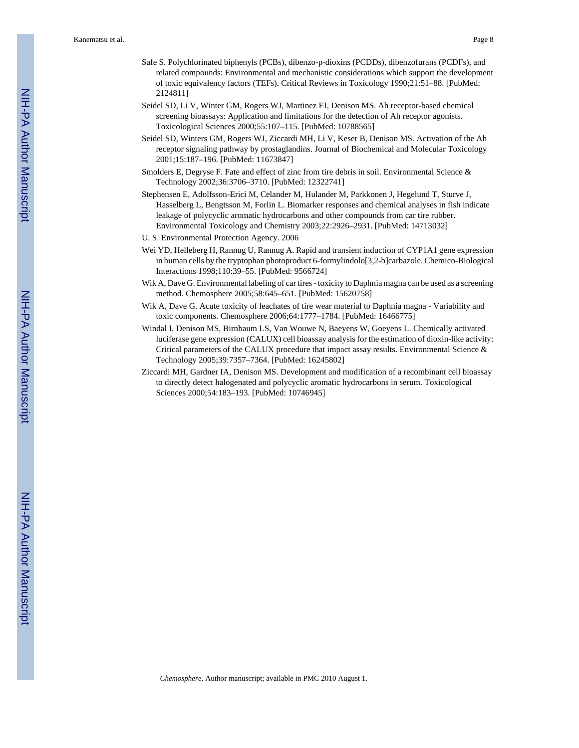- Safe S. Polychlorinated biphenyls (PCBs), dibenzo-p-dioxins (PCDDs), dibenzofurans (PCDFs), and related compounds: Environmental and mechanistic considerations which support the development of toxic equivalency factors (TEFs). Critical Reviews in Toxicology 1990;21:51–88. [PubMed: 2124811]
- Seidel SD, Li V, Winter GM, Rogers WJ, Martinez EI, Denison MS. Ah receptor-based chemical screening bioassays: Application and limitations for the detection of Ah receptor agonists. Toxicological Sciences 2000;55:107–115. [PubMed: 10788565]
- Seidel SD, Winters GM, Rogers WJ, Ziccardi MH, Li V, Keser B, Denison MS. Activation of the Ah receptor signaling pathway by prostaglandins. Journal of Biochemical and Molecular Toxicology 2001;15:187–196. [PubMed: 11673847]
- Smolders E, Degryse F. Fate and effect of zinc from tire debris in soil. Environmental Science & Technology 2002;36:3706–3710. [PubMed: 12322741]
- Stephensen E, Adolfsson-Erici M, Celander M, Hulander M, Parkkonen J, Hegelund T, Sturve J, Hasselberg L, Bengtsson M, Forlin L. Biomarker responses and chemical analyses in fish indicate leakage of polycyclic aromatic hydrocarbons and other compounds from car tire rubber. Environmental Toxicology and Chemistry 2003;22:2926–2931. [PubMed: 14713032]
- U. S. Environmental Protection Agency. 2006
- Wei YD, Helleberg H, Rannug U, Rannug A. Rapid and transient induction of CYP1A1 gene expression in human cells by the tryptophan photoproduct 6-formylindolo[3,2-b]carbazole. Chemico-Biological Interactions 1998;110:39–55. [PubMed: 9566724]
- Wik A, Dave G. Environmental labeling of car tires toxicity to Daphnia magna can be used as a screening method. Chemosphere 2005;58:645–651. [PubMed: 15620758]
- Wik A, Dave G. Acute toxicity of leachates of tire wear material to Daphnia magna Variability and toxic components. Chemosphere 2006;64:1777–1784. [PubMed: 16466775]
- Windal I, Denison MS, Birnbaum LS, Van Wouwe N, Baeyens W, Goeyens L. Chemically activated luciferase gene expression (CALUX) cell bioassay analysis for the estimation of dioxin-like activity: Critical parameters of the CALUX procedure that impact assay results. Environmental Science & Technology 2005;39:7357–7364. [PubMed: 16245802]
- Ziccardi MH, Gardner IA, Denison MS. Development and modification of a recombinant cell bioassay to directly detect halogenated and polycyclic aromatic hydrocarbons in serum. Toxicological Sciences 2000;54:183–193. [PubMed: 10746945]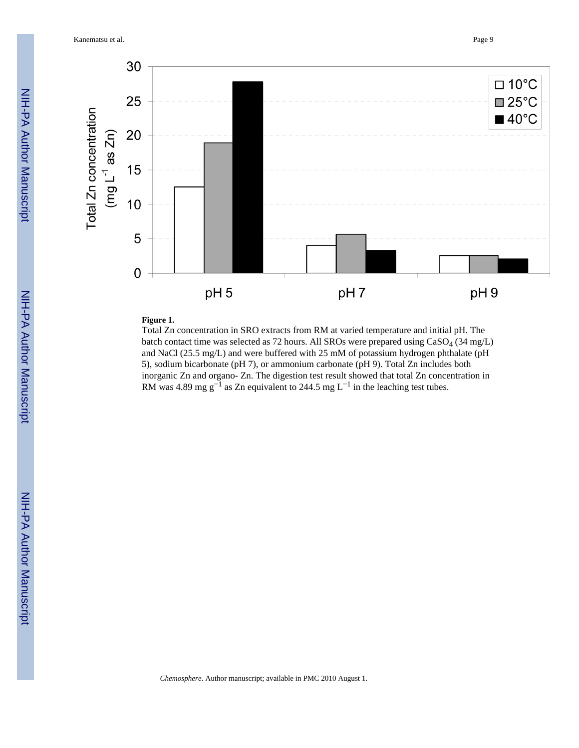Kanematsu et al. Page 9



#### **Figure 1.**

Total Zn concentration in SRO extracts from RM at varied temperature and initial pH. The batch contact time was selected as 72 hours. All SROs were prepared using CaSO<sub>4</sub> (34 mg/L) and NaCl (25.5 mg/L) and were buffered with 25 mM of potassium hydrogen phthalate (pH 5), sodium bicarbonate (pH 7), or ammonium carbonate (pH 9). Total Zn includes both inorganic Zn and organo- Zn. The digestion test result showed that total Zn concentration in RM was 4.89 mg g<sup>-1</sup> as Zn equivalent to 244.5 mg L<sup>-1</sup> in the leaching test tubes.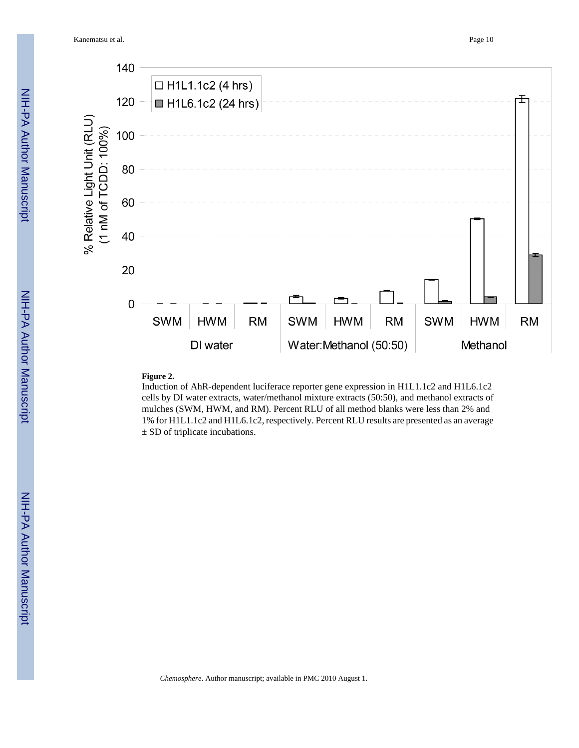Kanematsu et al. Page 10



#### **Figure 2.**

Induction of AhR-dependent luciferace reporter gene expression in H1L1.1c2 and H1L6.1c2 cells by DI water extracts, water/methanol mixture extracts (50:50), and methanol extracts of mulches (SWM, HWM, and RM). Percent RLU of all method blanks were less than 2% and 1% for H1L1.1c2 and H1L6.1c2, respectively. Percent RLU results are presented as an average ± SD of triplicate incubations.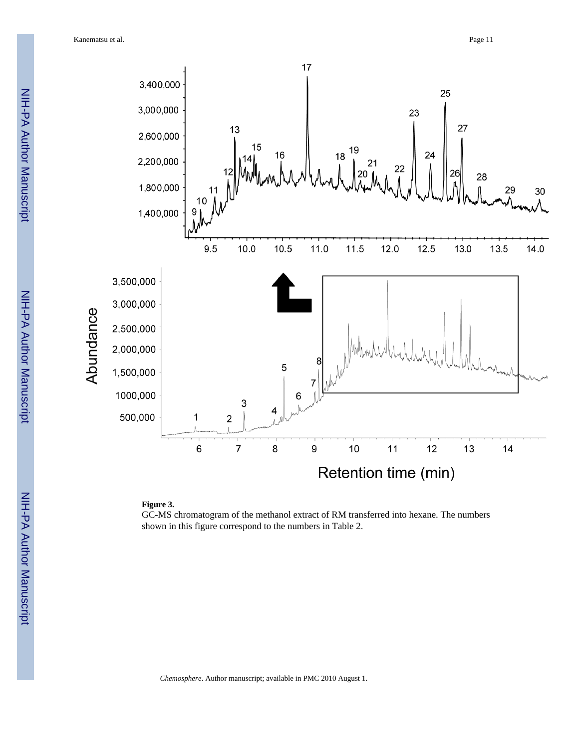Kanematsu et al. Page 11



### **Figure 3.**

GC-MS chromatogram of the methanol extract of RM transferred into hexane. The numbers shown in this figure correspond to the numbers in Table 2.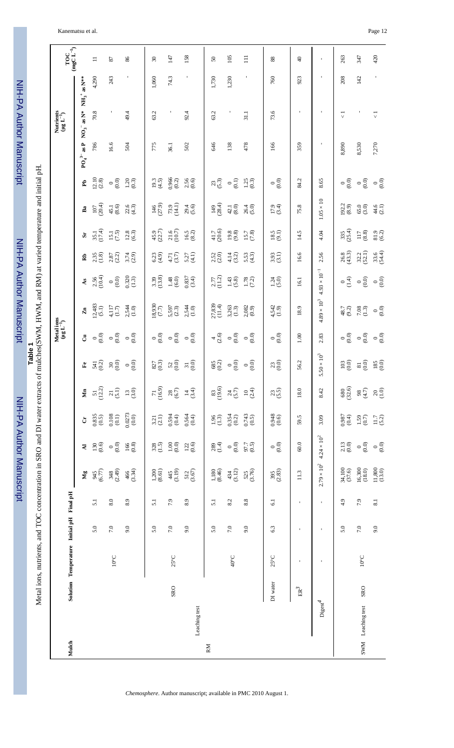## Kanematsu et al. Page 12

NIH-PA Author Manuscript NIH-PA Author ManuscriptNetal ions, nutrients, and TOC concentration in SRO and DI water extracts of mulches(SWM, HWM, and RM) at varied temperature and initial pH.

 NIH-PA Author Manuscript NIH-PA Author Manuscript Metal ions, nutrients, and TOC concentration in SRO and DI water extracts of mulches(SWM, HWM, and RM) at varied temperature and initial pH.

NIH-PA Author Manuscript

NIH-PA Author Manuscript

| $\operatorname*{inc}\nolimits_{\mathbf{L}^{-1}}$ |                                 | $\equiv$                                    | 87                                           | 86                    | $\sqrt{30}$               | 147                                      | 158                  | $50\,$                                    | 105                | $\Xi$                | $88\,$                   | $\overline{4}$  | $\mathbf I$                           | 263                                      | 347                              | 420                                         |
|--------------------------------------------------|---------------------------------|---------------------------------------------|----------------------------------------------|-----------------------|---------------------------|------------------------------------------|----------------------|-------------------------------------------|--------------------|----------------------|--------------------------|-----------------|---------------------------------------|------------------------------------------|----------------------------------|---------------------------------------------|
|                                                  | $NH_3$ <sup>+</sup> as $N^{**}$ | 4,290                                       | 243                                          |                       | 1,060                     | 74.3                                     | t,                   | 1,730                                     | 1,230              | $\blacksquare$       | 760                      | 923             | $\mathbf I$                           | 208                                      | 142                              | $\blacksquare$                              |
| Nutrients<br>( $\mu$ g L <sup>-1</sup> )         | $\rm NO_3^-$ as $\rm N^*$       | 70.8                                        |                                              | 49.4                  | 63.2                      | $\mathsf I$                              | 92.4                 | 63.2                                      |                    | 31.1                 | 73.6                     | $\blacksquare$  | $\mathbf I$                           | $\vec{v}$                                |                                  | $\overline{\vee}$                           |
|                                                  | $PO_4^3$ as P                   | 786                                         | 16.6                                         | 504                   | 775                       | 36.1                                     | 502                  | 646                                       | 138                | 478                  | 166                      | 359             | $\blacksquare$                        | 8,890                                    | 8,530                            | 7,270                                       |
|                                                  | Ê                               | $12.10$<br>$(2.8)$                          | $^{\circ}$ <sup>0</sup>                      | $1.20$<br>(0.3)       | $19.3$<br>(4.5)           | $0.966$<br>$(0.2)$                       | $2.56$<br>(0.6)      | $^{23}_{(5.3)}$                           | $(0.1)$<br>$\circ$ | $1.25$<br>(0.3)      | $\circ \atop{0.0}$       | 84.2            | 8.65                                  | $\circ \overline{\circ}$                 | (0.0)<br>$\circ$                 | $\circ \overline{\circ}$                    |
|                                                  | $\mathbf{B} \mathbf{a}$         | $107$<br>(20.4)                             | $45.1$<br>$(8.6)$                            | $22.6$<br>(4.3)       | $146$<br>(27.9)           | $73.9$<br>(14.1)                         | $29.4$<br>$(5.6)$    | $149$<br>(28.4)                           | $42.1$<br>(8.0)    | $26.4$<br>$(5.0)$    | $17.9$<br>(3.4)          | 75.8            | $1.05\times10$                        | $192.2$<br>(8.9)                         | $65.0$<br>$(3.0)$                | $44.6$<br>(2.1)                             |
|                                                  | $\mathbf{\tilde{S}}$            | $35.1$<br>(17.4)                            | $15.1$<br>(7.5)                              | $12.8$<br>(6.3)       | $45.9$<br>(22.7)          | $\frac{21.6}{(10.7)}$                    | $16.5$<br>(8.2)      | $41.7$<br>(20.6)                          | (9.8)              | $15.7$<br>(7.8)      | (9.1)                    | 14.5            | 4.04                                  | $335$<br>(25.4)                          | $^{117}_{(8.8)}$                 | $81.9$<br>(6.2)                             |
|                                                  | $\mathbf{\hat{R}}$              | $2.35$<br>(1.8)                             | $2.87$<br>(2.2)                              | $3.74$<br>(2.9)       | 6.23<br>(4.9)             | $4.71$<br>(3.7)                          | $5.27$<br>(4.1)      | $2.52$<br>$(2.0)$                         | $4.14$<br>(3.2)    | $5.53$<br>(4.3)      | $3.93$<br>(3.1)          | 16.6            | 2.56                                  | $\frac{26.8}{(43.3)}$                    | $32.2$<br>(52.1)                 | $33.6$<br>$(54.4)$                          |
|                                                  | $\mathbf{A}\mathbf{s}$          | $2.56$<br>(10.4)                            | $\circ\hat{\odot}$                           | $\frac{0.320}{(1.3)}$ | $3.39$<br>(13.8)          | $1.48$<br>(6.0)                          | $0.837$<br>(3.4)     | $2.77$<br>(11.2)                          | $1.43$<br>(5.8)    | $1.78$<br>(7.2)      | $1.24$<br>(5.0)          | 16.1            | $4.93 \times 10^{-1}$                 | $\circ \frac{4}{5}$                      | (0.0)<br>$\circ$                 | $\circ$ <sup><math>\frac{6}{5}</math></sup> |
|                                                  | $\mathbf{z}_n$                  | $(2,483)$<br>$(5.1)$                        | $4,117$<br>(1.7)                             | $2,544$<br>(1.0)      | (2, 2)                    | $5,597$<br>(2.3)                         | $2,544$<br>(1.0)     | $27,839$<br>(11.4)                        | $3,263$<br>(1.3)   | $2,082$<br>$(0.9)$   | $4,542$<br>(1.9)         | 18.9            | $4.89\times10^3$                      | $48.7$<br>$(9.2)$                        | $7.08$<br>(1.3)                  | $\circ$ <sup><math>\frac{6}{6}</math></sup> |
| Metal ions<br>$(\mu g L^{-1})$                   | ්                               | $\circ \atop{\odot} \odot$                  | $\circ$ <sup>0</sup> .0                      | $^{0}$ $^{0}$         | $\circ \atop{0.0}$        | $\circ$ <sup>0</sup> $\circ$             | $\circ \atop 0.0$    | $^{4}$ (2.6)                              | $\circ\atop{0.05}$ | $\circ$ <sup>0</sup> | $\circ \overline{\circ}$ | $1.00\,$        | 2.83                                  | $\begin{matrix} 0.0 \\ 0.0 \end{matrix}$ | $^{0}$                           | $\circ$ <sup>0</sup><br>$\circ$             |
|                                                  | $\mathbf{F}$                    | $\frac{541}{102}$                           | $\begin{array}{c} 30 \\ 0.0 \end{array}$     | $^{0}$ $^{0}$         | $827 \overline{)}$ (0.3)  | $\begin{array}{c} 52 \\ 0.0 \end{array}$ | $\frac{1}{100}$      | $\begin{array}{c} 685 \\ 0.2 \end{array}$ | $\circ\atop{0.05}$ | $\circ\atop{0.05}$   | $^{23}_{(0.0)}$          | 56.2            | $5.50\times10^3$                      | $^{103}_{(0.0)}$                         | $\overset{81}{\scriptstyle{.0}}$ | $^{185}_{(0.0)}$                            |
|                                                  | ŽЕ                              | $51$<br>(12.2)                              | $^{21}_{(5.1)}$                              | 13(3.0)               | $^{71}_{(16.9)}$          | $^{28}_{(6.7)}$                          | $14 \choose 3.4$     | $^{83}_{(19.6)}$                          | $24$<br>(5.7)      | $10^{10}_{(2.4)}$    | $^{23}_{(5.5)}$          | 18.0            | 8.42                                  | $\frac{680}{(32.6)}$                     | (4.7)                            | $\underset{\text{C}}{\text{20}}$            |
|                                                  | $\mathbf{\dot{C}}$              | $\begin{array}{c} 0.835 \\ 0.5 \end{array}$ | $\begin{array}{c} 0.108 \\ 0.1) \end{array}$ | $0.0273$<br>$(0.0)$   | $3.21$ $\left(2.1\right)$ | $0.594$<br>$(0.4)$                       | $0.564$<br>$(0.4)$   | $1.96$<br>(1.3)                           | $0.354$<br>$(0.2)$ | $0.743$<br>$(0.5)$   | (9.0)                    | 59.5            | 3.09                                  | (0.987)                                  | (0.7)                            | $11.7$<br>(5.2)                             |
|                                                  | $\overline{\mathbf{z}}$         | $^{130}_{(0.6)}$                            | $\circ \atop{0.0}$                           | $\frac{166}{(0.8)}$   | $328$<br>(1.5)            | $^{1.00}_{(0.0)}$                        | $122$<br>(0.6)       | $289$<br>(1.4)                            | (0.0)<br>$\circ$   | 97.7<br>(0.5)        | $\circ\overline{0}$      | $60.0$          |                                       | $\frac{2.13}{(0.0)}$                     | $\circ$ <sup>0</sup>             | $\circ$ <sup><math>\frac{6}{9}</math></sup> |
|                                                  | $M_{g}$                         | 6.77                                        | $348$<br>(2.49)                              | $\frac{466}{(3.34)}$  | $1,200$<br>(8.61)         | $445$<br>(3.19)                          | $\frac{512}{(3.67)}$ | $1,180$<br>$(8.46)$                       | $434$<br>(3.12)    | 525<br>(3.76)        | $\frac{395}{(2.83)}$     | 11.3            | $2.79 \times 10^2$ 4.24 $\times 10^2$ | 34,100<br>(37.6)                         | 16,300<br>(18.0)                 | $11,800$<br>(13.0)                          |
|                                                  |                                 | 5.1                                         | 8.0                                          | 8.9                   | 5.1                       | 7.9                                      | 8.9                  | 5.1                                       | 8.2                | 8.8                  | $\overline{6.1}$         | J.              | $\blacksquare$                        | 4.9                                      | 7.9                              | 8.1                                         |
|                                                  |                                 | 5.0                                         | $7.0\,$                                      | 9.0                   | 5.0                       | $7.0\,$                                  | 9.0                  | 5.0                                       | 7.0                | 9.0                  | 6.3                      |                 |                                       | 5.0                                      | 7.0                              | 9.0                                         |
| Solution Temperature Initial pH Final pH         |                                 |                                             | $10^{\circ}$ C                               |                       |                           | $25^{\circ}$ C                           |                      |                                           | $40^{\circ}$ C     |                      | $25^{\circ}$ C           | J.              | $\mathbf{I}$                          |                                          | $10^{\circ}\mathrm{C}$           |                                             |
|                                                  |                                 |                                             |                                              |                       |                           | <b>SRO</b>                               |                      |                                           |                    |                      | DI water                 | $\mathrm{ER}^3$ |                                       |                                          | SRO                              |                                             |
|                                                  |                                 |                                             |                                              |                       |                           |                                          | Leaching test        |                                           |                    |                      |                          |                 | $\mathrm{Digest}^4$                   |                                          | SWM Leaching test                |                                             |
| Mulch                                            |                                 |                                             |                                              |                       |                           |                                          |                      | RM                                        |                    |                      |                          |                 |                                       |                                          |                                  |                                             |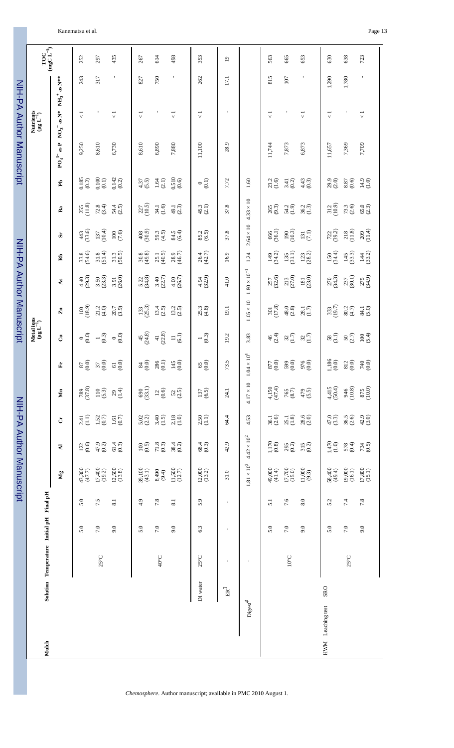| Kanematsu et al. | $\sim$<br>Page 13 |
|------------------|-------------------|
|------------------|-------------------|

|                          |                                          |         |              | NIH-PA Author Manuscript |                            |                      |                          |                                                        |                                | NIH-PA Author Manuscript |                      |                      |                       |                      |                                              | NIH-PA Author Manuscript            |                               |                             |                |
|--------------------------|------------------------------------------|---------|--------------|--------------------------|----------------------------|----------------------|--------------------------|--------------------------------------------------------|--------------------------------|--------------------------|----------------------|----------------------|-----------------------|----------------------|----------------------------------------------|-------------------------------------|-------------------------------|-----------------------------|----------------|
| Mulch                    | Solution Temperature Initial pH Final pH |         |              |                          |                            |                      |                          |                                                        | Metal ions<br>$(\mu g L^{-1})$ |                          |                      |                      |                       |                      |                                              |                                     | Nutrients<br>$(\mu g L^{-1})$ | ${\rm TOC}$ (mgC L $^{-1})$ |                |
|                          |                                          |         |              | $M_{g}$                  | $\overline{\mathbf{z}}$    | Ċ                    | Mn                       | $\mathbf{f}^{\mathbf{e}}$                              | ්                              | $\mathbf{z}_n$           | ÅS                   | $\mathbf{R}$         | S.                    | Ba                   | Ê,                                           | $NO3-$ as $N^*$<br>$PO_4^{3-}$ as P | $NH_3$ <sup>+</sup> as N**    |                             |                |
|                          |                                          | 5.0     | 5.0          | $43,300$<br>$(47.7)$     | $122 \\ 60$                | $2.41$<br>(1.1)      | (37.8)                   | $\begin{array}{c} 60 \\ 60 \end{array}$                | $\circ \atop{\odot} \odot$     | $\frac{100}{(18.9)}$     | $4.40$<br>(29.3)     | 33.8<br>(54.6)       | $43$<br>(33.6)        | $\frac{255}{(11.8)}$ | $\frac{0.185}{0.2}$                          | 9,250                               | $\vec{\sqrt{2}}$              | 243                         | 252            |
|                          | $25^{\circ}$ C                           | 7.0     | 7.5          | $17,400$<br>(19.2)       | $^{47.9}_{(0.2)}$          | $1.52$<br>(0.7)      | $110$<br>(5.3)           | $^{37}_{60}$                                           | $\frac{1}{2}$                  | $21.2$<br>(4.0)          | $3.50$<br>(23.3)     | $31.8$<br>$(51.4)$   | $137$<br>(10.4)       | $72.8$<br>(3.4)      | $\begin{array}{c} 0.100 \\ 0.1) \end{array}$ | 8,610                               |                               | 317                         | 297            |
|                          |                                          | 9.0     | 8.1          | $12,500$<br>$(13.8)$     | $61.4$<br>$(0.3)$          | $1.61$<br>(0.7)      | $29$<br>(1.4)            | $\frac{6}{6}$                                          | (0.0)<br>$\circ$               | $20.7$<br>$(3.9)$        | $3.91$<br>$(26.0)$   | $31.3$<br>$(50.5)$   |                       | $54.4$<br>(2.5)      | $0.142$<br>$(0.2)$                           | 6,730                               | $\frac{1}{\sqrt{2}}$          | $\blacksquare$              | 435            |
|                          |                                          | 5.0     | 4.9          | $39,100$<br>(43.1)       | $^{100}_{(0.5)}$           | $5.02$<br>(2.2)      | $690$<br>(33.1)          | $\begin{smallmatrix} 6 & 0 \\ 2 & 6 \end{smallmatrix}$ | $45$<br>(24.8)                 | $133$<br>(25.3)          | 5.22<br>(34.8)       | $30.8$<br>(49.8)     | $^{408}_{(30.9)}$     | $\frac{227}{(10.5)}$ | $4.37$<br>(5.5)                              | 8,610                               | $\vec{v}$                     | 827                         | 267            |
|                          | $40^{\circ}$ C                           | 7.0     | 7.8          | $8,490$<br>(9.4)         | $\substack{71.8 \\ (0.3)}$ | $3.40$<br>(1.5)      | $^{12}_{\phantom{1}0.6}$ | $^{286}_{(0.1)}$                                       | $\frac{41}{(22.8)}$            | $13.4$<br>(2.5)          | $3.40$<br>(22.7)     | $25.1$<br>(40.5)     | $59.3$<br>(4.5)       | $34.1$<br>(1.6)      | $1.64$<br>(2.1)                              | 6,890                               |                               | 750                         | 614            |
|                          |                                          | 9.0     | 8.1          | $11,500$<br>$(12.7)$     | $38.4$<br>(0.2)            | $\frac{2.18}{(1.0)}$ | $52$<br>(2.5)            | $^{145}_{(0.0)}$                                       | (6.1)<br>$\equiv$              | 13.2<br>(2.5)            | (26.7)<br>4.00       | $28.9$<br>(46.7)     | 84.5<br>(6.4)         | $49.1$<br>$(2.3)$    | $\frac{0.510}{(0.6)}$                        | $7{,}880$                           | $\overline{\vee}$             | $\mathbf{I}$                | 498            |
| DI water                 | $25^{\circ}$ C                           | 6.3     | 5.9          | $12,000$<br>(13.2)       | $68.4$<br>(0.3)            | $2.50$<br>(1.1)      | $137$<br>(6.5)           | $65\atop 60$                                           | $-\frac{1}{2}$                 | 25.3<br>(4.8)            | 4.94<br>(32.9)       | $26.4$<br>(42.7)     | 85.2<br>(6.5)         | $45.3$<br>(2.1)      | $\circ$ <sup>(1)</sup>                       | 11,100                              | $\vec{\nabla}$                | 262                         | 353            |
| $\mathrm{ER}^3$          | ٠                                        |         | $\mathbf{I}$ | 31.0                     | 42.9                       | 64.4                 | 24.1                     | 73.5                                                   | 19.2                           | 19.1                     | 41.0                 | 16.9                 | 37.8                  | 37.8                 | 7.72                                         | 28.9                                |                               | 17.1                        | $\overline{0}$ |
| $\mathrm{Digest}^4$      | J.                                       |         |              | $1.81\times10^3$         | $4.42\times10^2$           | 4.53                 | $4.17 \times 10$         | $1.04 \times 10^4$                                     | 3.83                           | $1.05\times10$           | $1.80\times10^{-1}$  | 1.24                 | $2.64 \times 10$      | $4.33 \times 10$     | $1.60\,$                                     |                                     |                               |                             |                |
|                          |                                          | 5.0     | 51           | 49,000<br>(41.4)         | $^{1,170}_{(0.8)}$         | $36.1$<br>$(2.6)$    | $4,150$<br>(47.4)        | $\begin{array}{c} 0.0 \\ 0.0 \end{array}$              | $46$<br>(2.4)                  | $\frac{301}{(17.8)}$     | 257<br>(32.6)        | $149$<br>(34.2)      | 666<br>(36.1)         | 265<br>(9.3)         | (1.6)<br>23.2                                | 11,744                              | $\overline{\vee}$             | 815                         | 563            |
|                          | $10^{\circ} \text{C}$                    | 7.0     | 7.6          | 17,700<br>(15.0)         | $295$<br>(0.2)             | $25.1$<br>(1.8)      | $765\atop(8.7)$          | $599$<br>$(0.0)$                                       | $32 \over 1.7$                 | 48.0<br>(2.8)            | $213$<br>$(27.0)$    | $\frac{135}{(31.1)}$ | $\frac{190}{(10.3)}$  | 54.2<br>(1.9)        | (0.2)<br>3.41                                | 7,873                               |                               | 107                         | 665            |
|                          |                                          | 9.0     | 8.0          | $11,000$<br>$(9.3)$      | $315$<br>$(0.2)$           | $28.6$<br>(2.0)      | $479$<br>(5.5)           | 976<br>(0.0)                                           | 32(1.7)                        | $\frac{28.1}{(1.7)}$     | $\frac{181}{(23.0)}$ | $123$<br>(28.2)      | $\Xi^{(1)}_{\rm (I)}$ | $36.2$<br>(1.3)      | $4.43$<br>(0.3)                              | 6,873                               | $\overline{\vee}$             | $\blacksquare$              | 653            |
| SRO<br>HWM Leaching test |                                          | 5.0     | 5.2          | $58,400$<br>(49.4)       | $1,470$<br>(1.0)           | $47.0$<br>$(3.3)$    | $4,415$<br>(50.4)        | $^{1,186}_{(0.0)}$                                     | $\frac{58}{(3.1)}$             | $333$<br>(19.7)          | (34.3)<br>270        | $150$<br>(34.4)      | $722$<br>(39.2)       | $312$<br>(10.9)      | $29.9$<br>$(2.0)$                            | 11,657                              | 1,290<br>$\vec{v}$            |                             | 630            |
|                          | $25^{\circ}$ C                           | $7.0\,$ | 7.4          | $19,000$<br>$(16.1)$     | $578$<br>(0.4)             | $36.5$<br>(2.6)      | $946$<br>(10.8)          | $812$ (0.0)                                            | $\frac{50}{(2.7)}$             | $80.2$<br>(4.7)          | $\frac{237}{(30.1)}$ | $145$<br>(33.3)      | $218$<br>(11.8)       | $73.3$<br>(2.6)      | $\begin{array}{c} 8.87 \\ 0.6 \end{array}$   | 7,369                               | 1,780                         |                             | 638            |
|                          |                                          | 9.0     | $7.8\,$      | $17,800$<br>(15.1)       | $734$<br>(0.5)             | $42.9$<br>$(3.0)$    | $875$<br>(10.0)          | 0.0000                                                 | $100$<br>(5.4)                 | $84.1$<br>(5.0)          | 275<br>(34.9)        | $144$<br>(33.2)      | $209$<br>(11.4)       | $65.0$<br>(2.3)      | $14.9$<br>(1.0)                              | 7,709                               | $\overline{\vee}$             | $\blacksquare$              | 723            |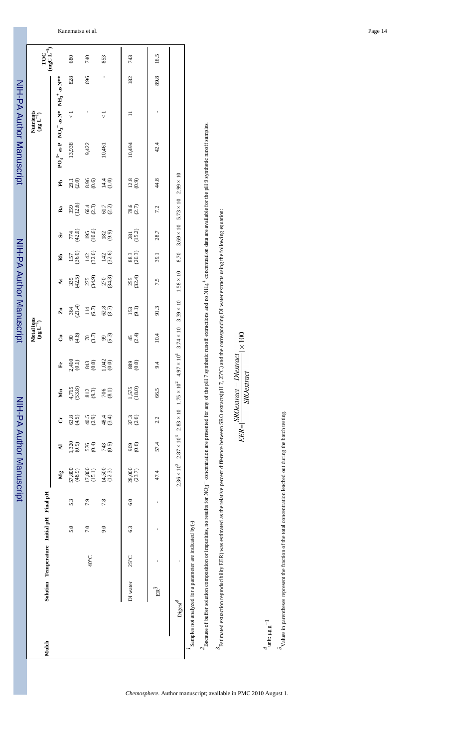|       |                                                          |                                          |     |     | NIH-PA Author Manuscript                                                  |                    |                   |                                             |                                                         |                                | NIH-PA Author Manuscript                                                            |                 |                 |                      |                   |                   | NIH-PA Author Manuscript                        |                   |      |                                       |
|-------|----------------------------------------------------------|------------------------------------------|-----|-----|---------------------------------------------------------------------------|--------------------|-------------------|---------------------------------------------|---------------------------------------------------------|--------------------------------|-------------------------------------------------------------------------------------|-----------------|-----------------|----------------------|-------------------|-------------------|-------------------------------------------------|-------------------|------|---------------------------------------|
| Mulch |                                                          | Solution Temperature Initial pH Final pH |     |     |                                                                           |                    |                   |                                             |                                                         | Metal ions<br>$(\mu g L^{-1})$ |                                                                                     |                 |                 |                      |                   |                   | Nutrients<br>$(\mu g L^{-1})$                   |                   |      | ${\rm TOC} \atop ({\rm mgC\,L^{-1}})$ |
|       |                                                          |                                          |     |     | Ng                                                                        | ₹                  | Ġ                 | Žщ                                          | $\mathbf{F}$                                            | ්                              | $\mathbf{z}_{n}$                                                                    | ÅS              | Rb              | S.                   | Ba                | Ê                 | $PO_4^{3-}$ as P $NO_3^-$ as N* $NH_3^+$ as N** |                   |      |                                       |
|       |                                                          |                                          | 5.0 | 5.3 | 57,800<br>(48.9)                                                          | $^{1,320}_{(0.9)}$ | $63.8$<br>(4.5)   | 4,715<br>(53.8)                             | $2,410$<br>(0.1)                                        | $90$<br>$(4.8)$                | $364$<br>(21.4)                                                                     | $335$<br>(42.5) | $157$<br>(36.0) | $774$<br>(42.0)      | 359<br>(12.6)     | 29.1<br>(2.0)     | 13,938                                          | $\overline{\vee}$ | 828  | 680                                   |
|       |                                                          | 40°C                                     | 7.0 | 7.9 | $17,800$<br>(15.1)                                                        | $576$<br>(0.4)     | $40.5$<br>$(2.9)$ | $\begin{array}{c} 812 \\ (9.3) \end{array}$ | $\begin{array}{c} 343 \\ 0.0 \\ 1,042 \\ 0 \end{array}$ | $\frac{70}{(3.7)}$             | $^{114}_{(6.7)}$                                                                    | 275<br>(34.9)   | $142$<br>(32.6) | $195$<br>(10.6)      | $66.4$<br>(2.3)   | $8.96$<br>(0.6)   | 9,422                                           |                   | 696  | 740                                   |
|       |                                                          |                                          | 9.0 | 7.8 | $14,500$<br>(12.3)                                                        | $743$<br>(0.5)     | $48.4$<br>(3.4)   | $706$<br>(8.1)                              |                                                         | 99 <sub>(5.3)</sub>            | $62.8$<br>(3.7)                                                                     | 270<br>(34.3)   | $142$<br>(32.6) | $182$<br>(9.9)       | $61.7$<br>$(2.2)$ | $14.4$<br>(1.0)   | 10,461                                          |                   |      | 853                                   |
|       | DI water                                                 | $25^{\circ}$ C                           | 6.3 | 6.0 | $28,000$<br>(23.7)                                                        | $(0.6)$<br>909     | 37.3<br>(2.6)     | $1,575$<br>(18.0)                           | $^{(0.0)}_{88}$                                         | $45$<br>$(24)$                 | $\begin{array}{c} 153 \\ 9.1 \end{array}$                                           | $255$<br>(32.4) | 88.3<br>(20.3)  | $\frac{281}{(15.2)}$ | $78.6$<br>(2.7)   | $^{12.8}_{(0.9)}$ | 10,494                                          |                   | 182  | 743                                   |
|       | ੇਖ਼ੁ                                                     |                                          |     |     | 47.4                                                                      | 57.4               | 2.2               | 66.5                                        | 9.4                                                     | 10.4                           | 91.3                                                                                | 7.5             | 39.1            | 28.7                 | 7.2               | 44.8              | 42.4                                            |                   | 89.8 | 16.5                                  |
|       | $\mathrm{Digest}^4$                                      | ï                                        |     |     | $2.36 \times 10^3$ $2.87 \times 10^3$ $2.83 \times 10$ $1.75 \times 10^2$ |                    |                   |                                             |                                                         |                                | $4.97 \times 10^4$ 3.74 × 10 3.39 × 10 1.58 × 10 8.70 3.69 × 10 5.73 × 10 2.99 × 10 |                 |                 |                      |                   |                   |                                                 |                   |      |                                       |
|       | Samples not analyzed for a parameter are indicated by(-) |                                          |     |     |                                                                           |                    |                   |                                             |                                                         |                                |                                                                                     |                 |                 |                      |                   |                   |                                                 |                   |      |                                       |

 $^2$ Because of buffer solution composition or impurities, no results for NO3<sup>-</sup> concentration are presented for any of the pH 7 synthetic runoff extractions and no NH4<sup>+</sup> concentration data are available for the pH 9 synt  $+$  concentration data are available for the pH 9 synthetic runoff samples. − concentration are presented for any of the pH 7 synthetic runoff extractions and no NH4 *2*Because of buffer solution composition or impurities, no results for NO3

 $^{3}$ Estimated extraction reproducibility EER) was estimated as the relative percent difference between SRO extracts(pH 7, 25°C) and the corresponding DI water extracts using the following equation: <sup>3</sup>Estimated extraction reproducibility EER) was estimated as the relative percent difference between SRO extracts(pH 7, 25°C) and the corresponding DI water extracts using the following equation:

$$
EER = \frac{SRO extract - Dlexiract}{SRO extract} \times 100
$$

 $^4$ unit: μg g<sup>-1</sup>

 $5$  values in parentheses represent the fraction of the total concentration leached out during the batch testing. *5*Values in parentheses represent the fraction of the total concentration leached out during the batch testing.